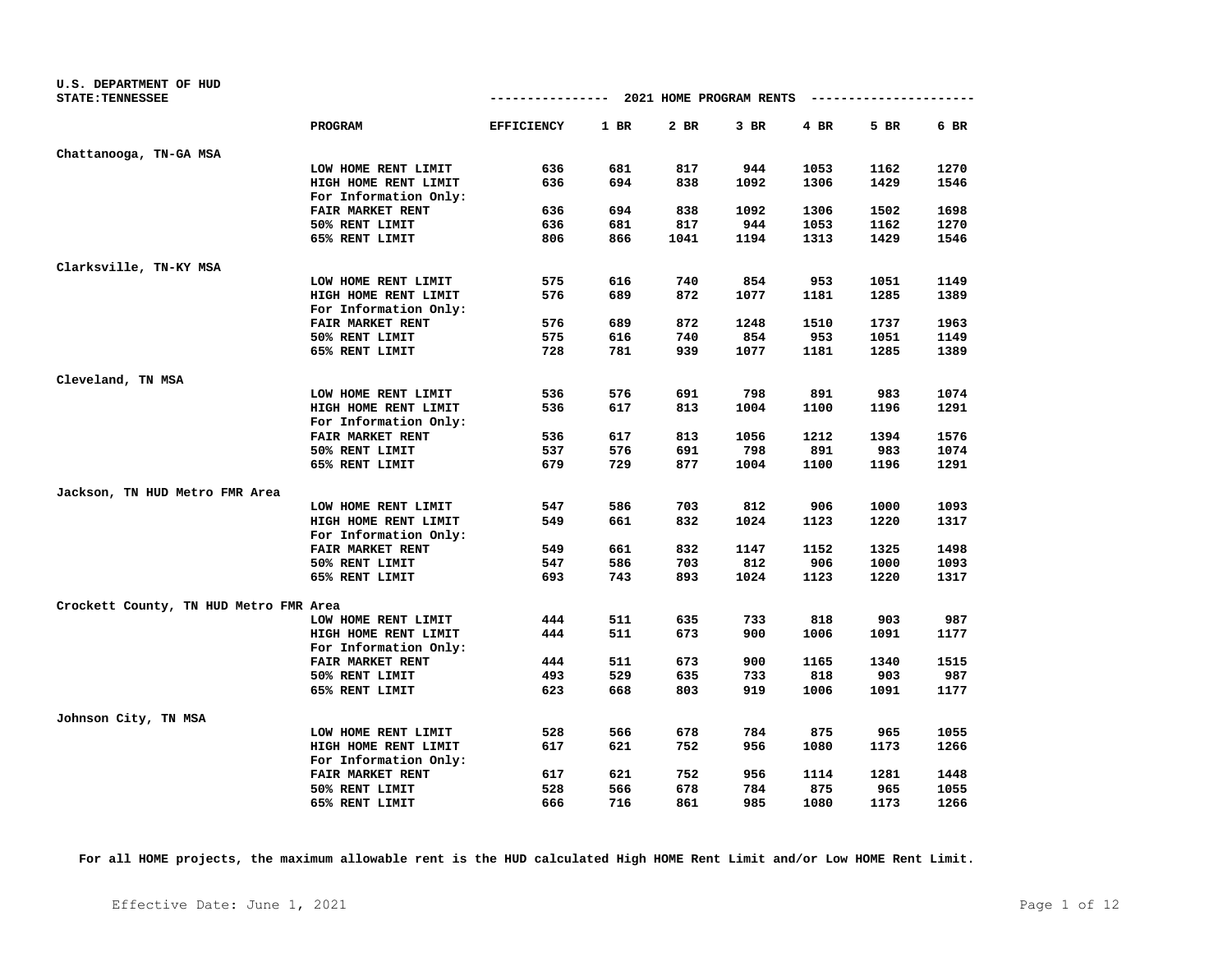| U.S. DEPARTMENT OF HUD                 |                         | -------------- 2021 HOME PROGRAM RENTS |        |      |      |        | ----------------------- |      |
|----------------------------------------|-------------------------|----------------------------------------|--------|------|------|--------|-------------------------|------|
| <b>STATE: TENNESSEE</b>                |                         |                                        |        |      |      |        |                         |      |
|                                        | <b>PROGRAM</b>          | <b>EFFICIENCY</b>                      | $1$ BR | 2 BR | 3 BR | $4$ BR | 5 BR                    | 6 BR |
| Chattanooga, TN-GA MSA                 |                         |                                        |        |      |      |        |                         |      |
|                                        | LOW HOME RENT LIMIT     | 636                                    | 681    | 817  | 944  | 1053   | 1162                    | 1270 |
|                                        | HIGH HOME RENT LIMIT    | 636                                    | 694    | 838  | 1092 | 1306   | 1429                    | 1546 |
|                                        | For Information Only:   |                                        |        |      |      |        |                         |      |
|                                        | FAIR MARKET RENT        | 636                                    | 694    | 838  | 1092 | 1306   | 1502                    | 1698 |
|                                        | 50% RENT LIMIT          | 636                                    | 681    | 817  | 944  | 1053   | 1162                    | 1270 |
|                                        | 65% RENT LIMIT          | 806                                    | 866    | 1041 | 1194 | 1313   | 1429                    | 1546 |
| Clarksville, TN-KY MSA                 |                         |                                        |        |      |      |        |                         |      |
|                                        | LOW HOME RENT LIMIT     | 575                                    | 616    | 740  | 854  | 953    | 1051                    | 1149 |
|                                        | HIGH HOME RENT LIMIT    | 576                                    | 689    | 872  | 1077 | 1181   | 1285                    | 1389 |
|                                        | For Information Only:   |                                        |        |      |      |        |                         |      |
|                                        | FAIR MARKET RENT        | 576                                    | 689    | 872  | 1248 | 1510   | 1737                    | 1963 |
|                                        | 50% RENT LIMIT          | 575                                    | 616    | 740  | 854  | 953    | 1051                    | 1149 |
|                                        | 65% RENT LIMIT          | 728                                    | 781    | 939  | 1077 | 1181   | 1285                    | 1389 |
| Cleveland, TN MSA                      |                         |                                        |        |      |      |        |                         |      |
|                                        | LOW HOME RENT LIMIT     | 536                                    | 576    | 691  | 798  | 891    | 983                     | 1074 |
|                                        | HIGH HOME RENT LIMIT    | 536                                    | 617    | 813  | 1004 | 1100   | 1196                    | 1291 |
|                                        | For Information Only:   |                                        |        |      |      |        |                         |      |
|                                        | <b>FAIR MARKET RENT</b> | 536                                    | 617    | 813  | 1056 | 1212   | 1394                    | 1576 |
|                                        | 50% RENT LIMIT          | 537                                    | 576    | 691  | 798  | 891    | 983                     | 1074 |
|                                        | 65% RENT LIMIT          | 679                                    | 729    | 877  | 1004 | 1100   | 1196                    | 1291 |
| Jackson, TN HUD Metro FMR Area         |                         |                                        |        |      |      |        |                         |      |
|                                        | LOW HOME RENT LIMIT     | 547                                    | 586    | 703  | 812  | 906    | 1000                    | 1093 |
|                                        | HIGH HOME RENT LIMIT    | 549                                    | 661    | 832  | 1024 | 1123   | 1220                    | 1317 |
|                                        | For Information Only:   |                                        |        |      |      |        |                         |      |
|                                        | FAIR MARKET RENT        | 549                                    | 661    | 832  | 1147 | 1152   | 1325                    | 1498 |
|                                        | 50% RENT LIMIT          | 547                                    | 586    | 703  | 812  | 906    | 1000                    | 1093 |
|                                        | 65% RENT LIMIT          | 693                                    | 743    | 893  | 1024 | 1123   | 1220                    | 1317 |
| Crockett County, TN HUD Metro FMR Area |                         |                                        |        |      |      |        |                         |      |
|                                        | LOW HOME RENT LIMIT     | 444                                    | 511    | 635  | 733  | 818    | 903                     | 987  |
|                                        | HIGH HOME RENT LIMIT    | 444                                    | 511    | 673  | 900  | 1006   | 1091                    | 1177 |
|                                        | For Information Only:   |                                        |        |      |      |        |                         |      |
|                                        | FAIR MARKET RENT        | 444                                    | 511    | 673  | 900  | 1165   | 1340                    | 1515 |
|                                        | 50% RENT LIMIT          | 493                                    | 529    | 635  | 733  | 818    | 903                     | 987  |
|                                        | 65% RENT LIMIT          | 623                                    | 668    | 803  | 919  | 1006   | 1091                    | 1177 |
| Johnson City, TN MSA                   |                         |                                        |        |      |      |        |                         |      |
|                                        | LOW HOME RENT LIMIT     | 528                                    | 566    | 678  | 784  | 875    | 965                     | 1055 |
|                                        | HIGH HOME RENT LIMIT    | 617                                    | 621    | 752  | 956  | 1080   | 1173                    | 1266 |
|                                        | For Information Only:   |                                        |        |      |      |        |                         |      |
|                                        | FAIR MARKET RENT        | 617                                    | 621    | 752  | 956  | 1114   | 1281                    | 1448 |
|                                        | 50% RENT LIMIT          | 528                                    | 566    | 678  | 784  | 875    | 965                     | 1055 |
|                                        | 65% RENT LIMIT          | 666                                    | 716    | 861  | 985  | 1080   | 1173                    | 1266 |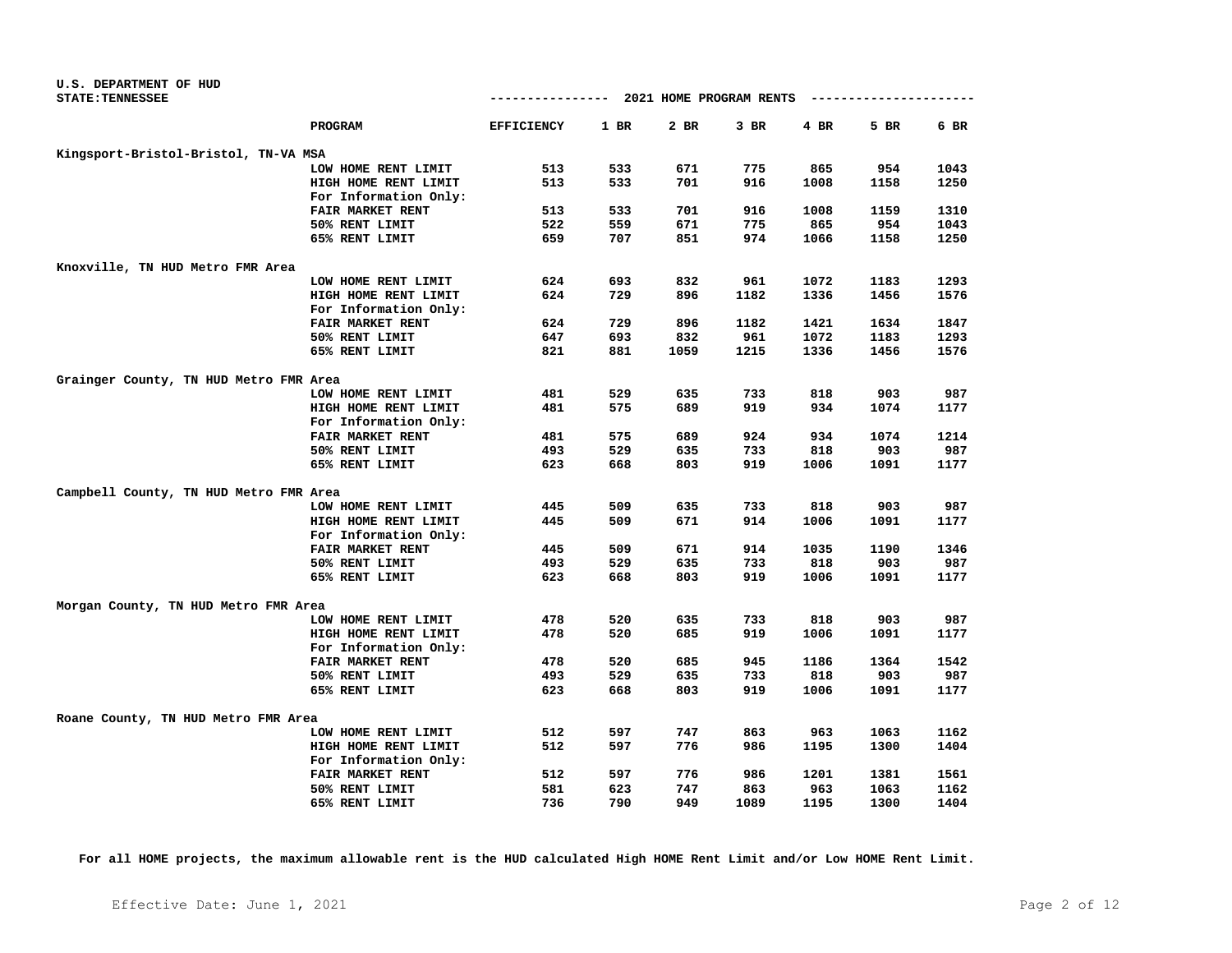| U.S. DEPARTMENT OF HUD                 |                         |                   |            |                         |      |          |      |              |
|----------------------------------------|-------------------------|-------------------|------------|-------------------------|------|----------|------|--------------|
| <b>STATE: TENNESSEE</b>                |                         | -------------     |            | 2021 HOME PROGRAM RENTS |      | -------- |      |              |
|                                        | <b>PROGRAM</b>          | <b>EFFICIENCY</b> | 1 BR       | 2 BR                    | 3 BR | 4 BR     | 5 BR | 6 BR         |
| Kingsport-Bristol-Bristol, TN-VA MSA   |                         |                   |            |                         |      |          |      |              |
|                                        | LOW HOME RENT LIMIT     | 513               | 533        | 671                     | 775  | 865      | 954  | 1043         |
|                                        | HIGH HOME RENT LIMIT    | 513               | 533        | 701                     | 916  | 1008     | 1158 | 1250         |
|                                        | For Information Only:   |                   |            |                         |      |          |      |              |
|                                        | FAIR MARKET RENT        | 513               | 533        | 701                     | 916  | 1008     | 1159 | 1310         |
|                                        | 50% RENT LIMIT          | 522               | 559        | 671                     | 775  | 865      | 954  | 1043         |
|                                        | 65% RENT LIMIT          | 659               | 707        | 851                     | 974  | 1066     | 1158 | 1250         |
| Knoxville, TN HUD Metro FMR Area       |                         |                   |            |                         |      |          |      |              |
|                                        | LOW HOME RENT LIMIT     | 624               | 693        | 832                     | 961  | 1072     | 1183 | 1293         |
|                                        | HIGH HOME RENT LIMIT    | 624               | 729        | 896                     | 1182 | 1336     | 1456 | 1576         |
|                                        | For Information Only:   |                   |            |                         |      |          |      |              |
|                                        | FAIR MARKET RENT        | 624               | 729        | 896                     | 1182 | 1421     | 1634 | 1847         |
|                                        | 50% RENT LIMIT          | 647               | 693        | 832                     | 961  | 1072     | 1183 | 1293         |
|                                        | 65% RENT LIMIT          | 821               | 881        | 1059                    | 1215 | 1336     | 1456 | 1576         |
|                                        |                         |                   |            |                         |      |          |      |              |
| Grainger County, TN HUD Metro FMR Area |                         |                   |            |                         |      |          |      |              |
|                                        | LOW HOME RENT LIMIT     | 481               | 529        | 635                     | 733  | 818      | 903  | 987          |
|                                        | HIGH HOME RENT LIMIT    | 481               | 575        | 689                     | 919  | 934      | 1074 | 1177         |
|                                        | For Information Only:   |                   |            |                         |      |          |      |              |
|                                        | <b>FAIR MARKET RENT</b> | 481               | 575        | 689                     | 924  | 934      | 1074 | 1214         |
|                                        | 50% RENT LIMIT          | 493               | 529        | 635                     | 733  | 818      | 903  | 987          |
|                                        | 65% RENT LIMIT          | 623               | 668        | 803                     | 919  | 1006     | 1091 | 1177         |
| Campbell County, TN HUD Metro FMR Area |                         |                   |            |                         |      |          |      |              |
|                                        | LOW HOME RENT LIMIT     | 445               | 509        | 635                     | 733  | 818      | 903  | 987          |
|                                        | HIGH HOME RENT LIMIT    | 445               | 509        | 671                     | 914  | 1006     | 1091 | 1177         |
|                                        | For Information Only:   |                   |            |                         |      |          |      |              |
|                                        | <b>FAIR MARKET RENT</b> | 445               | 509        | 671                     | 914  | 1035     | 1190 | 1346         |
|                                        | 50% RENT LIMIT          | 493               | 529        | 635                     | 733  | 818      | 903  | 987          |
|                                        | 65% RENT LIMIT          | 623               | 668        | 803                     | 919  | 1006     | 1091 | 1177         |
| Morgan County, TN HUD Metro FMR Area   |                         |                   |            |                         |      |          |      |              |
|                                        | LOW HOME RENT LIMIT     | 478               | 520        | 635                     | 733  | 818      | 903  | 987          |
|                                        | HIGH HOME RENT LIMIT    | 478               | 520        | 685                     | 919  | 1006     | 1091 | 1177         |
|                                        | For Information Only:   |                   |            |                         |      |          |      |              |
|                                        | FAIR MARKET RENT        | 478               | 520        | 685                     | 945  | 1186     | 1364 | 1542         |
|                                        | 50% RENT LIMIT          | 493               | 529        | 635                     | 733  | 818      | 903  | 987          |
|                                        | 65% RENT LIMIT          | 623               | 668        | 803                     | 919  | 1006     | 1091 | 1177         |
|                                        |                         |                   |            |                         |      |          |      |              |
| Roane County, TN HUD Metro FMR Area    |                         |                   |            | 747                     |      |          |      |              |
|                                        | LOW HOME RENT LIMIT     | 512<br>512        | 597<br>597 | 776                     | 863  | 963      | 1063 | 1162<br>1404 |
|                                        | HIGH HOME RENT LIMIT    |                   |            |                         | 986  | 1195     | 1300 |              |
|                                        | For Information Only:   |                   |            |                         |      |          |      |              |
|                                        | FAIR MARKET RENT        | 512               | 597        | 776                     | 986  | 1201     | 1381 | 1561         |
|                                        | 50% RENT LIMIT          | 581               | 623        | 747                     | 863  | 963      | 1063 | 1162         |
|                                        | 65% RENT LIMIT          | 736               | 790        | 949                     | 1089 | 1195     | 1300 | 1404         |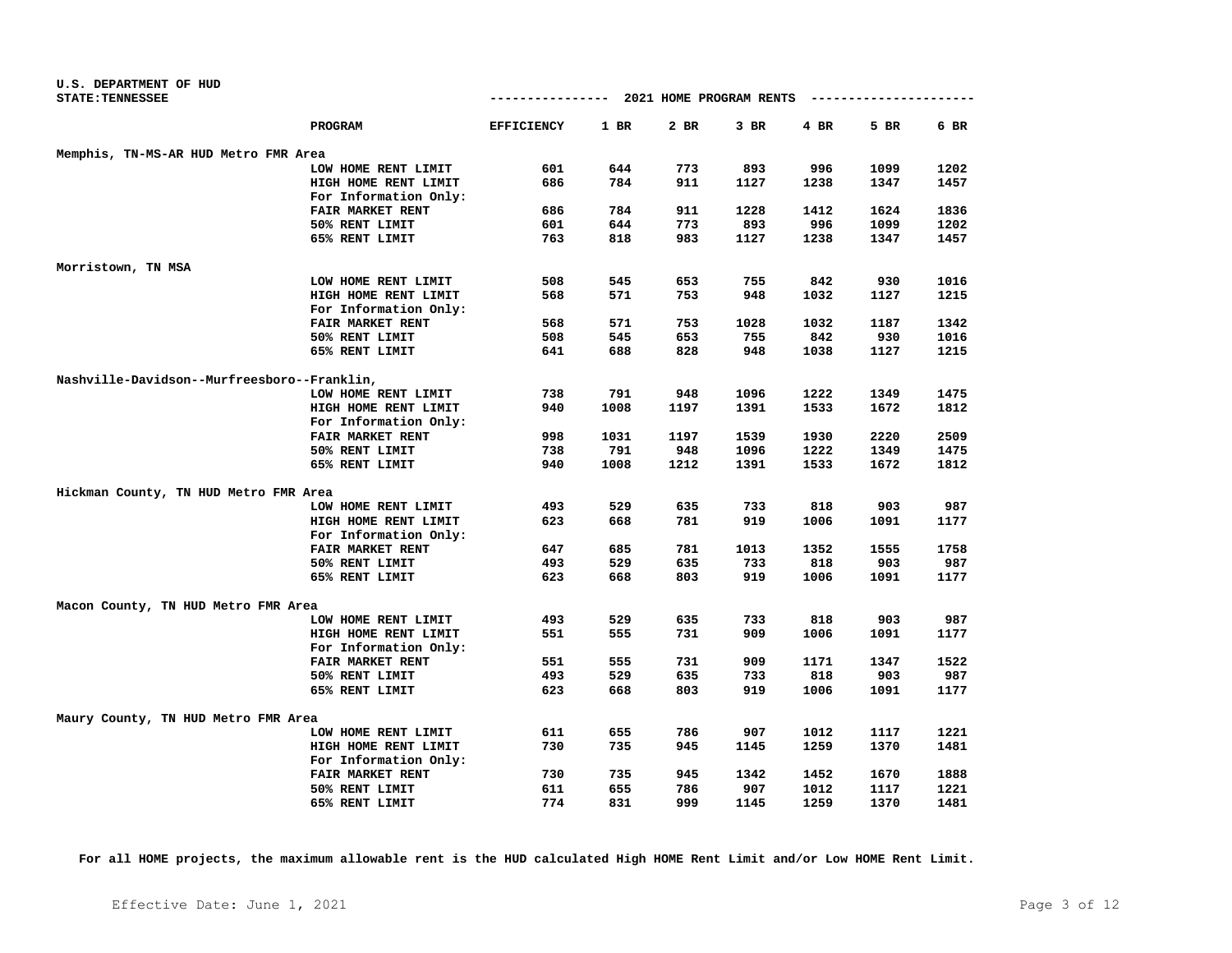| U.S. DEPARTMENT OF HUD                      |                       |                   |      |                         |      |      |                  |      |
|---------------------------------------------|-----------------------|-------------------|------|-------------------------|------|------|------------------|------|
| <b>STATE: TENNESSEE</b>                     |                       | ----------------- |      | 2021 HOME PROGRAM RENTS |      |      | ---------------- |      |
|                                             | PROGRAM               | <b>EFFICIENCY</b> | 1 BR | 2 BR                    | 3 BR | 4 BR | 5 BR             | 6 BR |
| Memphis, TN-MS-AR HUD Metro FMR Area        |                       |                   |      |                         |      |      |                  |      |
|                                             | LOW HOME RENT LIMIT   | 601               | 644  | 773                     | 893  | 996  | 1099             | 1202 |
|                                             | HIGH HOME RENT LIMIT  | 686               | 784  | 911                     | 1127 | 1238 | 1347             | 1457 |
|                                             | For Information Only: |                   |      |                         |      |      |                  |      |
|                                             | FAIR MARKET RENT      | 686               | 784  | 911                     | 1228 | 1412 | 1624             | 1836 |
|                                             | 50% RENT LIMIT        | 601               | 644  | 773                     | 893  | 996  | 1099             | 1202 |
|                                             | 65% RENT LIMIT        | 763               | 818  | 983                     | 1127 | 1238 | 1347             | 1457 |
| Morristown, TN MSA                          |                       |                   |      |                         |      |      |                  |      |
|                                             | LOW HOME RENT LIMIT   | 508               | 545  | 653                     | 755  | 842  | 930              | 1016 |
|                                             | HIGH HOME RENT LIMIT  | 568               | 571  | 753                     | 948  | 1032 | 1127             | 1215 |
|                                             | For Information Only: |                   |      |                         |      |      |                  |      |
|                                             | FAIR MARKET RENT      | 568               | 571  | 753                     | 1028 | 1032 | 1187             | 1342 |
|                                             | 50% RENT LIMIT        | 508               | 545  | 653                     | 755  | 842  | 930              | 1016 |
|                                             | 65% RENT LIMIT        | 641               | 688  | 828                     | 948  | 1038 | 1127             | 1215 |
| Nashville-Davidson--Murfreesboro--Franklin, |                       |                   |      |                         |      |      |                  |      |
|                                             | LOW HOME RENT LIMIT   | 738               | 791  | 948                     | 1096 | 1222 | 1349             | 1475 |
|                                             | HIGH HOME RENT LIMIT  | 940               | 1008 | 1197                    | 1391 | 1533 | 1672             | 1812 |
|                                             | For Information Only: |                   |      |                         |      |      |                  |      |
|                                             | FAIR MARKET RENT      | 998               | 1031 | 1197                    | 1539 | 1930 | 2220             | 2509 |
|                                             | 50% RENT LIMIT        | 738               | 791  | 948                     | 1096 | 1222 | 1349             | 1475 |
|                                             | 65% RENT LIMIT        | 940               | 1008 | 1212                    | 1391 | 1533 | 1672             | 1812 |
|                                             |                       |                   |      |                         |      |      |                  |      |
| Hickman County, TN HUD Metro FMR Area       | LOW HOME RENT LIMIT   | 493               | 529  | 635                     | 733  | 818  | 903              | 987  |
|                                             | HIGH HOME RENT LIMIT  | 623               | 668  | 781                     | 919  | 1006 | 1091             | 1177 |
|                                             | For Information Only: |                   |      |                         |      |      |                  |      |
|                                             | FAIR MARKET RENT      | 647               | 685  | 781                     | 1013 | 1352 | 1555             | 1758 |
|                                             | 50% RENT LIMIT        | 493               | 529  | 635                     | 733  | 818  | 903              | 987  |
|                                             | 65% RENT LIMIT        | 623               | 668  | 803                     | 919  | 1006 | 1091             | 1177 |
|                                             |                       |                   |      |                         |      |      |                  |      |
| Macon County, TN HUD Metro FMR Area         |                       |                   |      |                         |      |      |                  |      |
|                                             | LOW HOME RENT LIMIT   | 493               | 529  | 635                     | 733  | 818  | 903              | 987  |
|                                             | HIGH HOME RENT LIMIT  | 551               | 555  | 731                     | 909  | 1006 | 1091             | 1177 |
|                                             | For Information Only: |                   |      |                         |      |      |                  |      |
|                                             | FAIR MARKET RENT      | 551               | 555  | 731                     | 909  | 1171 | 1347             | 1522 |
|                                             | 50% RENT LIMIT        | 493               | 529  | 635                     | 733  | 818  | 903              | 987  |
|                                             | 65% RENT LIMIT        | 623               | 668  | 803                     | 919  | 1006 | 1091             | 1177 |
| Maury County, TN HUD Metro FMR Area         |                       |                   |      |                         |      |      |                  |      |
|                                             | LOW HOME RENT LIMIT   | 611               | 655  | 786                     | 907  | 1012 | 1117             | 1221 |
|                                             | HIGH HOME RENT LIMIT  | 730               | 735  | 945                     | 1145 | 1259 | 1370             | 1481 |
|                                             | For Information Only: |                   |      |                         |      |      |                  |      |
|                                             | FAIR MARKET RENT      | 730               | 735  | 945                     | 1342 | 1452 | 1670             | 1888 |
|                                             | 50% RENT LIMIT        | 611               | 655  | 786                     | 907  | 1012 | 1117             | 1221 |
|                                             | 65% RENT LIMIT        | 774               | 831  | 999                     | 1145 | 1259 | 1370             | 1481 |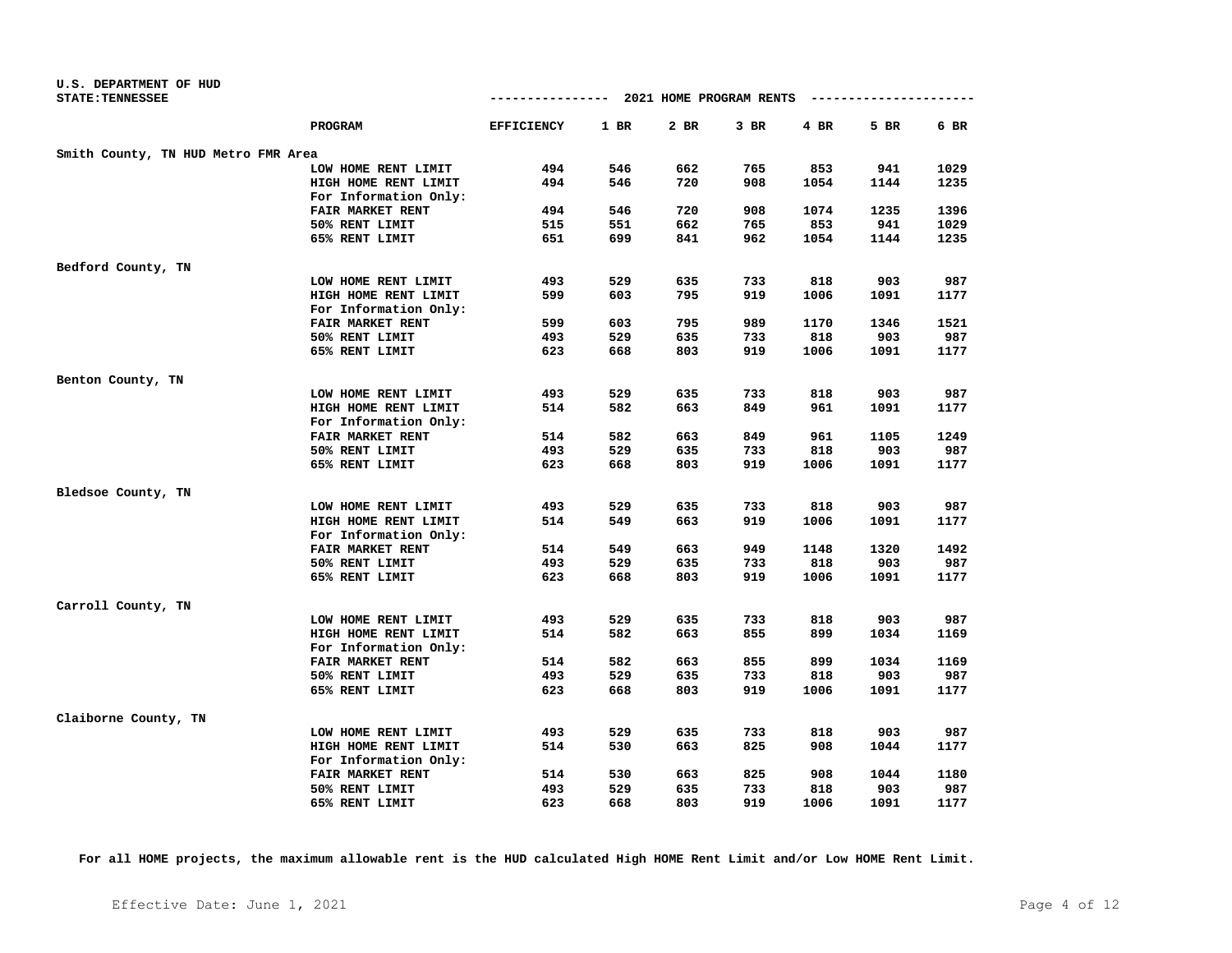| U.S. DEPARTMENT OF HUD              |                       |                   |        |                         |        |            |      |      |
|-------------------------------------|-----------------------|-------------------|--------|-------------------------|--------|------------|------|------|
| <b>STATE: TENNESSEE</b>             |                       | --------------    |        | 2021 HOME PROGRAM RENTS |        | ---------- |      |      |
|                                     | PROGRAM               | <b>EFFICIENCY</b> | $1$ BR | $2$ BR                  | $3$ BR | 4 BR       | 5 BR | 6 BR |
| Smith County, TN HUD Metro FMR Area |                       |                   |        |                         |        |            |      |      |
|                                     | LOW HOME RENT LIMIT   | 494               | 546    | 662                     | 765    | 853        | 941  | 1029 |
|                                     | HIGH HOME RENT LIMIT  | 494               | 546    | 720                     | 908    | 1054       | 1144 | 1235 |
|                                     | For Information Only: |                   |        |                         |        |            |      |      |
|                                     | FAIR MARKET RENT      | 494               | 546    | 720                     | 908    | 1074       | 1235 | 1396 |
|                                     | 50% RENT LIMIT        | 515               | 551    | 662                     | 765    | 853        | 941  | 1029 |
|                                     | 65% RENT LIMIT        | 651               | 699    | 841                     | 962    | 1054       | 1144 | 1235 |
| Bedford County, TN                  |                       |                   |        |                         |        |            |      |      |
|                                     | LOW HOME RENT LIMIT   | 493               | 529    | 635                     | 733    | 818        | 903  | 987  |
|                                     | HIGH HOME RENT LIMIT  | 599               | 603    | 795                     | 919    | 1006       | 1091 | 1177 |
|                                     | For Information Only: |                   |        |                         |        |            |      |      |
|                                     | FAIR MARKET RENT      | 599               | 603    | 795                     | 989    | 1170       | 1346 | 1521 |
|                                     | 50% RENT LIMIT        | 493               | 529    | 635                     | 733    | 818        | 903  | 987  |
|                                     | 65% RENT LIMIT        | 623               | 668    | 803                     | 919    | 1006       | 1091 | 1177 |
|                                     |                       |                   |        |                         |        |            |      |      |
| Benton County, TN                   |                       |                   |        |                         |        |            |      |      |
|                                     | LOW HOME RENT LIMIT   | 493               | 529    | 635                     | 733    | 818        | 903  | 987  |
|                                     | HIGH HOME RENT LIMIT  | 514               | 582    | 663                     | 849    | 961        | 1091 | 1177 |
|                                     | For Information Only: |                   |        |                         |        |            |      |      |
|                                     | FAIR MARKET RENT      | 514               | 582    | 663                     | 849    | 961        | 1105 | 1249 |
|                                     | 50% RENT LIMIT        | 493               | 529    | 635                     | 733    | 818        | 903  | 987  |
|                                     | 65% RENT LIMIT        | 623               | 668    | 803                     | 919    | 1006       | 1091 | 1177 |
| Bledsoe County, TN                  |                       |                   |        |                         |        |            |      |      |
|                                     | LOW HOME RENT LIMIT   | 493               | 529    | 635                     | 733    | 818        | 903  | 987  |
|                                     | HIGH HOME RENT LIMIT  | 514               | 549    | 663                     | 919    | 1006       | 1091 | 1177 |
|                                     | For Information Only: |                   |        |                         |        |            |      |      |
|                                     | FAIR MARKET RENT      | 514               | 549    | 663                     | 949    | 1148       | 1320 | 1492 |
|                                     | 50% RENT LIMIT        | 493               | 529    | 635                     | 733    | 818        | 903  | 987  |
|                                     | 65% RENT LIMIT        | 623               | 668    | 803                     | 919    | 1006       | 1091 | 1177 |
| Carroll County, TN                  |                       |                   |        |                         |        |            |      |      |
|                                     | LOW HOME RENT LIMIT   | 493               | 529    | 635                     | 733    | 818        | 903  | 987  |
|                                     | HIGH HOME RENT LIMIT  | 514               | 582    | 663                     | 855    | 899        | 1034 | 1169 |
|                                     | For Information Only: |                   |        |                         |        |            |      |      |
|                                     | FAIR MARKET RENT      | 514               | 582    | 663                     | 855    | 899        | 1034 | 1169 |
|                                     | 50% RENT LIMIT        | 493               | 529    | 635                     | 733    | 818        | 903  | 987  |
|                                     | 65% RENT LIMIT        | 623               | 668    | 803                     | 919    | 1006       | 1091 | 1177 |
| Claiborne County, TN                |                       |                   |        |                         |        |            |      |      |
|                                     | LOW HOME RENT LIMIT   | 493               | 529    | 635                     | 733    | 818        | 903  | 987  |
|                                     | HIGH HOME RENT LIMIT  | 514               | 530    | 663                     | 825    | 908        | 1044 | 1177 |
|                                     | For Information Only: |                   |        |                         |        |            |      |      |
|                                     | FAIR MARKET RENT      | 514               | 530    | 663                     | 825    | 908        | 1044 | 1180 |
|                                     | 50% RENT LIMIT        | 493               | 529    | 635                     | 733    | 818        | 903  | 987  |
|                                     | 65% RENT LIMIT        | 623               | 668    | 803                     | 919    | 1006       | 1091 | 1177 |
|                                     |                       |                   |        |                         |        |            |      |      |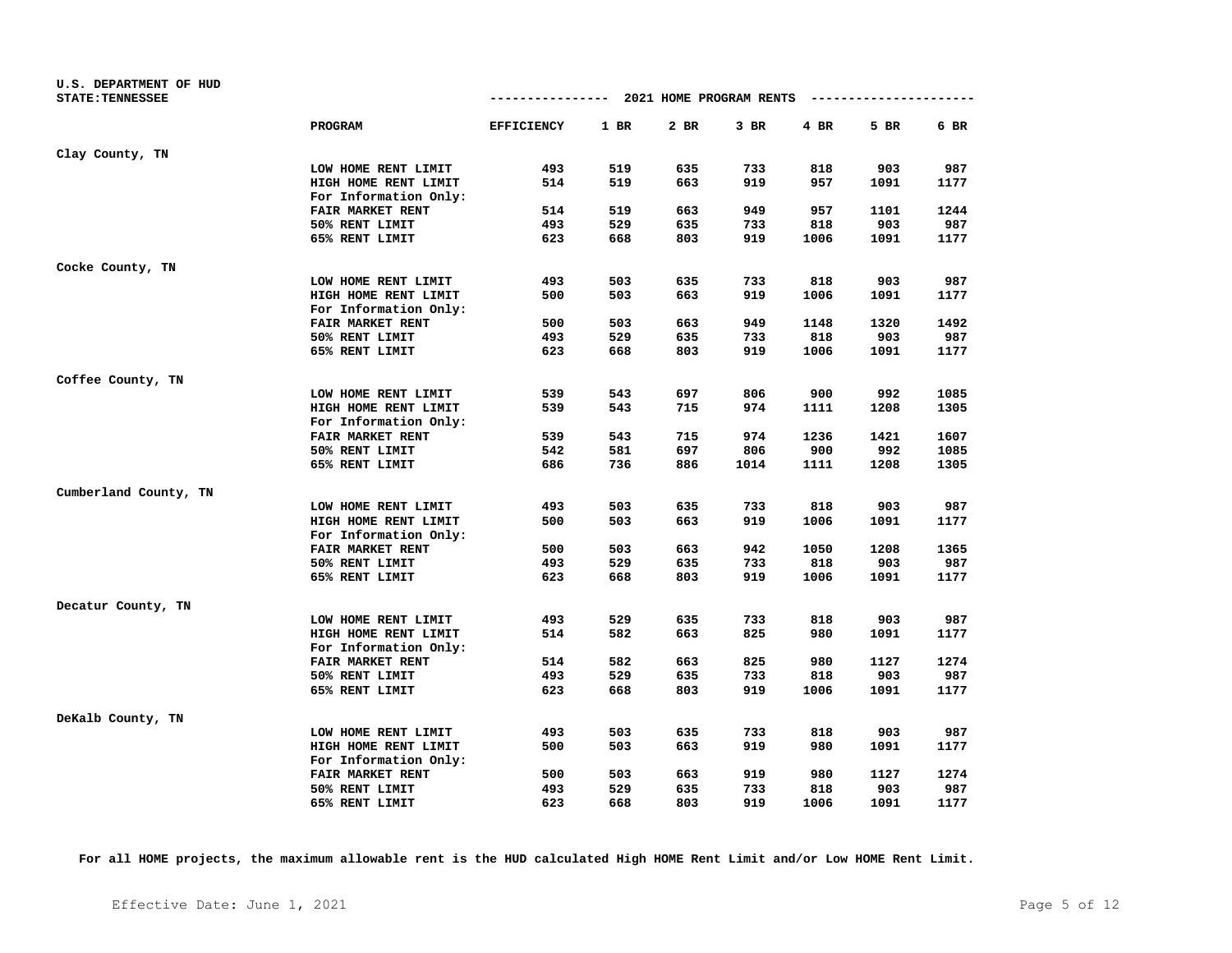| U.S. DEPARTMENT OF HUD<br><b>STATE: TENNESSEE</b> |                         |                   |      | ------------- 2021 HOME PROGRAM RENTS |        |        | ---------------------- |      |
|---------------------------------------------------|-------------------------|-------------------|------|---------------------------------------|--------|--------|------------------------|------|
|                                                   | <b>PROGRAM</b>          | <b>EFFICIENCY</b> | 1 BR | 2 BR                                  | $3$ BR | $4$ BR | 5 BR                   | 6 BR |
| Clay County, TN                                   |                         |                   |      |                                       |        |        |                        |      |
|                                                   | LOW HOME RENT LIMIT     | 493               | 519  | 635                                   | 733    | 818    | 903                    | 987  |
|                                                   | HIGH HOME RENT LIMIT    | 514               | 519  | 663                                   | 919    | 957    | 1091                   | 1177 |
|                                                   | For Information Only:   |                   |      |                                       |        |        |                        |      |
|                                                   | FAIR MARKET RENT        | 514               | 519  | 663                                   | 949    | 957    | 1101                   | 1244 |
|                                                   | 50% RENT LIMIT          | 493               | 529  | 635                                   | 733    | 818    | 903                    | 987  |
|                                                   | 65% RENT LIMIT          | 623               | 668  | 803                                   | 919    | 1006   | 1091                   | 1177 |
| Cocke County, TN                                  |                         |                   |      |                                       |        |        |                        |      |
|                                                   | LOW HOME RENT LIMIT     | 493               | 503  | 635                                   | 733    | 818    | 903                    | 987  |
|                                                   | HIGH HOME RENT LIMIT    | 500               | 503  | 663                                   | 919    | 1006   | 1091                   | 1177 |
|                                                   | For Information Only:   |                   |      |                                       |        |        |                        |      |
|                                                   | FAIR MARKET RENT        | 500               | 503  | 663                                   | 949    | 1148   | 1320                   | 1492 |
|                                                   | 50% RENT LIMIT          | 493               | 529  | 635                                   | 733    | 818    | 903                    | 987  |
|                                                   | 65% RENT LIMIT          | 623               | 668  | 803                                   | 919    | 1006   | 1091                   | 1177 |
| Coffee County, TN                                 |                         |                   |      |                                       |        |        |                        |      |
|                                                   | LOW HOME RENT LIMIT     | 539               | 543  | 697                                   | 806    | 900    | 992                    | 1085 |
|                                                   | HIGH HOME RENT LIMIT    | 539               | 543  | 715                                   | 974    | 1111   | 1208                   | 1305 |
|                                                   | For Information Only:   |                   |      |                                       |        |        |                        |      |
|                                                   | <b>FAIR MARKET RENT</b> | 539               | 543  | 715                                   | 974    | 1236   | 1421                   | 1607 |
|                                                   | 50% RENT LIMIT          | 542               | 581  | 697                                   | 806    | 900    | 992                    | 1085 |
|                                                   | 65% RENT LIMIT          | 686               | 736  | 886                                   | 1014   | 1111   | 1208                   | 1305 |
| Cumberland County, TN                             |                         |                   |      |                                       |        |        |                        |      |
|                                                   | LOW HOME RENT LIMIT     | 493               | 503  | 635                                   | 733    | 818    | 903                    | 987  |
|                                                   | HIGH HOME RENT LIMIT    | 500               | 503  | 663                                   | 919    | 1006   | 1091                   | 1177 |
|                                                   | For Information Only:   |                   |      |                                       |        |        |                        |      |
|                                                   | FAIR MARKET RENT        | 500               | 503  | 663                                   | 942    | 1050   | 1208                   | 1365 |
|                                                   | 50% RENT LIMIT          | 493               | 529  | 635                                   | 733    | 818    | 903                    | 987  |
|                                                   | 65% RENT LIMIT          | 623               | 668  | 803                                   | 919    | 1006   | 1091                   | 1177 |
| Decatur County, TN                                |                         |                   |      |                                       |        |        |                        |      |
|                                                   | LOW HOME RENT LIMIT     | 493               | 529  | 635                                   | 733    | 818    | 903                    | 987  |
|                                                   | HIGH HOME RENT LIMIT    | 514               | 582  | 663                                   | 825    | 980    | 1091                   | 1177 |
|                                                   | For Information Only:   |                   |      |                                       |        |        |                        |      |
|                                                   | FAIR MARKET RENT        | 514               | 582  | 663                                   | 825    | 980    | 1127                   | 1274 |
|                                                   | 50% RENT LIMIT          | 493               | 529  | 635                                   | 733    | 818    | 903                    | 987  |
|                                                   | 65% RENT LIMIT          | 623               | 668  | 803                                   | 919    | 1006   | 1091                   | 1177 |
| DeKalb County, TN                                 |                         |                   |      |                                       |        |        |                        |      |
|                                                   | LOW HOME RENT LIMIT     | 493               | 503  | 635                                   | 733    | 818    | 903                    | 987  |
|                                                   | HIGH HOME RENT LIMIT    | 500               | 503  | 663                                   | 919    | 980    | 1091                   | 1177 |
|                                                   | For Information Only:   |                   |      |                                       |        |        |                        |      |
|                                                   | FAIR MARKET RENT        | 500               | 503  | 663                                   | 919    | 980    | 1127                   | 1274 |
|                                                   | 50% RENT LIMIT          | 493               | 529  | 635                                   | 733    | 818    | 903                    | 987  |
|                                                   | 65% RENT LIMIT          | 623               | 668  | 803                                   | 919    | 1006   | 1091                   | 1177 |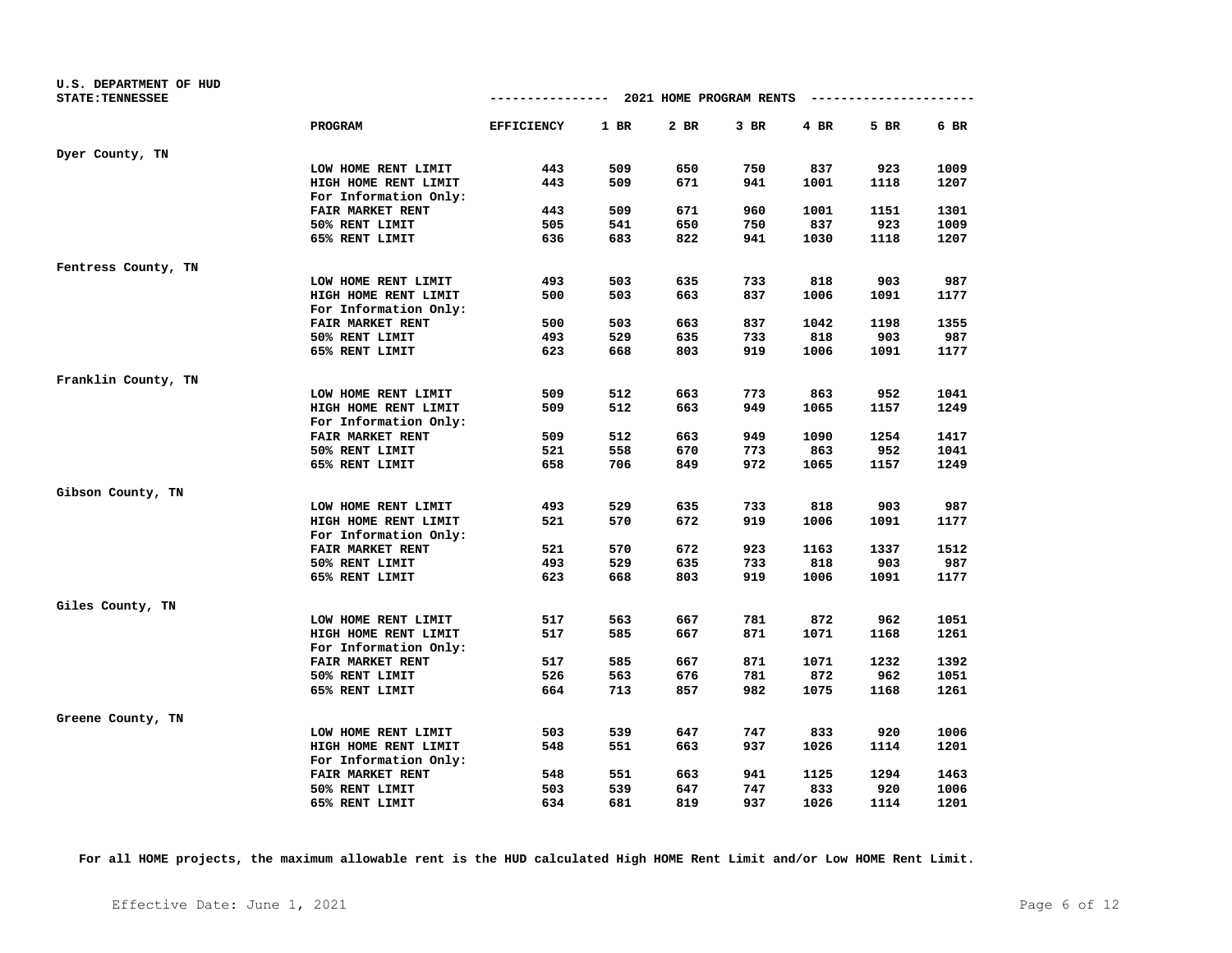| U.S. DEPARTMENT OF HUD<br><b>STATE: TENNESSEE</b> |                         |                   |      | ------------- 2021 HOME PROGRAM RENTS |        |        | ----------------------- |      |
|---------------------------------------------------|-------------------------|-------------------|------|---------------------------------------|--------|--------|-------------------------|------|
|                                                   | <b>PROGRAM</b>          | <b>EFFICIENCY</b> | 1 BR | 2 BR                                  | $3$ BR | $4$ BR | 5 BR                    | 6 BR |
| Dyer County, TN                                   |                         |                   |      |                                       |        |        |                         |      |
|                                                   | LOW HOME RENT LIMIT     | 443               | 509  | 650                                   | 750    | 837    | 923                     | 1009 |
|                                                   | HIGH HOME RENT LIMIT    | 443               | 509  | 671                                   | 941    | 1001   | 1118                    | 1207 |
|                                                   | For Information Only:   |                   |      |                                       |        |        |                         |      |
|                                                   | FAIR MARKET RENT        | 443               | 509  | 671                                   | 960    | 1001   | 1151                    | 1301 |
|                                                   | 50% RENT LIMIT          | 505               | 541  | 650                                   | 750    | 837    | 923                     | 1009 |
|                                                   | 65% RENT LIMIT          | 636               | 683  | 822                                   | 941    | 1030   | 1118                    | 1207 |
| Fentress County, TN                               |                         |                   |      |                                       |        |        |                         |      |
|                                                   | LOW HOME RENT LIMIT     | 493               | 503  | 635                                   | 733    | 818    | 903                     | 987  |
|                                                   | HIGH HOME RENT LIMIT    | 500               | 503  | 663                                   | 837    | 1006   | 1091                    | 1177 |
|                                                   | For Information Only:   |                   |      |                                       |        |        |                         |      |
|                                                   | FAIR MARKET RENT        | 500               | 503  | 663                                   | 837    | 1042   | 1198                    | 1355 |
|                                                   | 50% RENT LIMIT          | 493               | 529  | 635                                   | 733    | 818    | 903                     | 987  |
|                                                   | 65% RENT LIMIT          | 623               | 668  | 803                                   | 919    | 1006   | 1091                    | 1177 |
| Franklin County, TN                               |                         |                   |      |                                       |        |        |                         |      |
|                                                   | LOW HOME RENT LIMIT     | 509               | 512  | 663                                   | 773    | 863    | 952                     | 1041 |
|                                                   | HIGH HOME RENT LIMIT    | 509               | 512  | 663                                   | 949    | 1065   | 1157                    | 1249 |
|                                                   | For Information Only:   |                   |      |                                       |        |        |                         |      |
|                                                   | <b>FAIR MARKET RENT</b> | 509               | 512  | 663                                   | 949    | 1090   | 1254                    | 1417 |
|                                                   | 50% RENT LIMIT          | 521               | 558  | 670                                   | 773    | 863    | 952                     | 1041 |
|                                                   | 65% RENT LIMIT          | 658               | 706  | 849                                   | 972    | 1065   | 1157                    | 1249 |
| Gibson County, TN                                 |                         |                   |      |                                       |        |        |                         |      |
|                                                   | LOW HOME RENT LIMIT     | 493               | 529  | 635                                   | 733    | 818    | 903                     | 987  |
|                                                   | HIGH HOME RENT LIMIT    | 521               | 570  | 672                                   | 919    | 1006   | 1091                    | 1177 |
|                                                   | For Information Only:   |                   |      |                                       |        |        |                         |      |
|                                                   | FAIR MARKET RENT        | 521               | 570  | 672                                   | 923    | 1163   | 1337                    | 1512 |
|                                                   | 50% RENT LIMIT          | 493               | 529  | 635                                   | 733    | 818    | 903                     | 987  |
|                                                   | 65% RENT LIMIT          | 623               | 668  | 803                                   | 919    | 1006   | 1091                    | 1177 |
| Giles County, TN                                  |                         |                   |      |                                       |        |        |                         |      |
|                                                   | LOW HOME RENT LIMIT     | 517               | 563  | 667                                   | 781    | 872    | 962                     | 1051 |
|                                                   | HIGH HOME RENT LIMIT    | 517               | 585  | 667                                   | 871    | 1071   | 1168                    | 1261 |
|                                                   | For Information Only:   |                   |      |                                       |        |        |                         |      |
|                                                   | FAIR MARKET RENT        | 517               | 585  | 667                                   | 871    | 1071   | 1232                    | 1392 |
|                                                   | 50% RENT LIMIT          | 526               | 563  | 676                                   | 781    | 872    | 962                     | 1051 |
|                                                   | 65% RENT LIMIT          | 664               | 713  | 857                                   | 982    | 1075   | 1168                    | 1261 |
| Greene County, TN                                 |                         |                   |      |                                       |        |        |                         |      |
|                                                   | LOW HOME RENT LIMIT     | 503               | 539  | 647                                   | 747    | 833    | 920                     | 1006 |
|                                                   | HIGH HOME RENT LIMIT    | 548               | 551  | 663                                   | 937    | 1026   | 1114                    | 1201 |
|                                                   | For Information Only:   |                   |      |                                       |        |        |                         |      |
|                                                   | FAIR MARKET RENT        | 548               | 551  | 663                                   | 941    | 1125   | 1294                    | 1463 |
|                                                   | 50% RENT LIMIT          | 503               | 539  | 647                                   | 747    | 833    | 920                     | 1006 |
|                                                   | 65% RENT LIMIT          | 634               | 681  | 819                                   | 937    | 1026   | 1114                    | 1201 |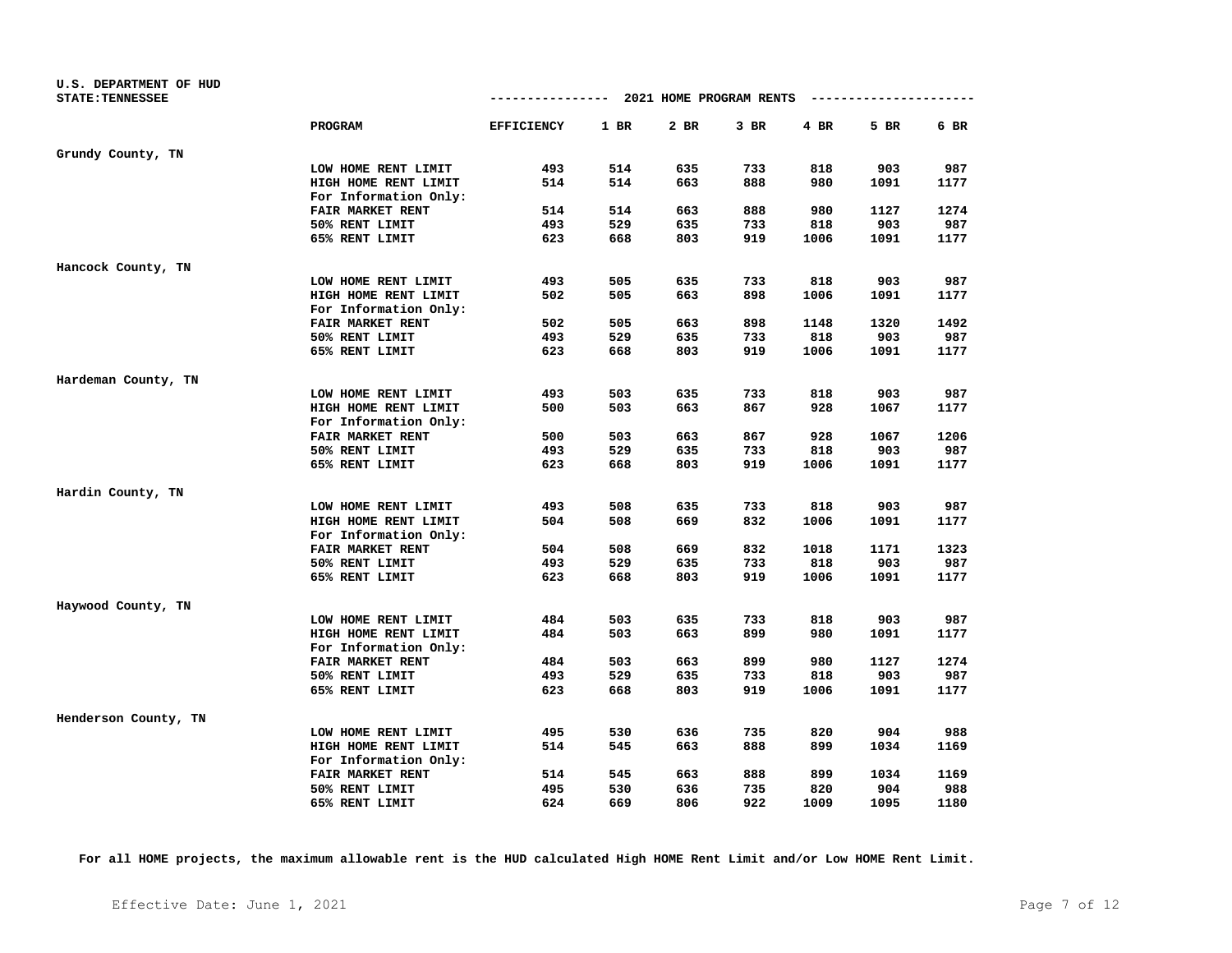| U.S. DEPARTMENT OF HUD  |                         |                   |      |                                      |        |      |                        |      |
|-------------------------|-------------------------|-------------------|------|--------------------------------------|--------|------|------------------------|------|
| <b>STATE: TENNESSEE</b> |                         |                   |      | ------------ 2021 HOME PROGRAM RENTS |        |      | ---------------------- |      |
|                         | PROGRAM                 | <b>EFFICIENCY</b> | 1 BR | 2 BR                                 | $3$ BR | 4 BR | 5 BR                   | 6 BR |
| Grundy County, TN       |                         |                   |      |                                      |        |      |                        |      |
|                         | LOW HOME RENT LIMIT     | 493               | 514  | 635                                  | 733    | 818  | 903                    | 987  |
|                         | HIGH HOME RENT LIMIT    | 514               | 514  | 663                                  | 888    | 980  | 1091                   | 1177 |
|                         | For Information Only:   |                   |      |                                      |        |      |                        |      |
|                         | <b>FAIR MARKET RENT</b> | 514               | 514  | 663                                  | 888    | 980  | 1127                   | 1274 |
|                         | 50% RENT LIMIT          | 493               | 529  | 635                                  | 733    | 818  | 903                    | 987  |
|                         | 65% RENT LIMIT          | 623               | 668  | 803                                  | 919    | 1006 | 1091                   | 1177 |
| Hancock County, TN      |                         |                   |      |                                      |        |      |                        |      |
|                         | LOW HOME RENT LIMIT     | 493               | 505  | 635                                  | 733    | 818  | 903                    | 987  |
|                         | HIGH HOME RENT LIMIT    | 502               | 505  | 663                                  | 898    | 1006 | 1091                   | 1177 |
|                         | For Information Only:   |                   |      |                                      |        |      |                        |      |
|                         | FAIR MARKET RENT        | 502               | 505  | 663                                  | 898    | 1148 | 1320                   | 1492 |
|                         | 50% RENT LIMIT          | 493               | 529  | 635                                  | 733    | 818  | 903                    | 987  |
|                         | 65% RENT LIMIT          | 623               | 668  | 803                                  | 919    | 1006 | 1091                   | 1177 |
| Hardeman County, TN     |                         |                   |      |                                      |        |      |                        |      |
|                         | LOW HOME RENT LIMIT     | 493               | 503  | 635                                  | 733    | 818  | 903                    | 987  |
|                         | HIGH HOME RENT LIMIT    | 500               | 503  | 663                                  | 867    | 928  | 1067                   | 1177 |
|                         | For Information Only:   |                   |      |                                      |        |      |                        |      |
|                         | <b>FAIR MARKET RENT</b> | 500               | 503  | 663                                  | 867    | 928  | 1067                   | 1206 |
|                         | 50% RENT LIMIT          | 493               | 529  | 635                                  | 733    | 818  | 903                    | 987  |
|                         | 65% RENT LIMIT          | 623               | 668  | 803                                  | 919    | 1006 | 1091                   | 1177 |
| Hardin County, TN       |                         |                   |      |                                      |        |      |                        |      |
|                         | LOW HOME RENT LIMIT     | 493               | 508  | 635                                  | 733    | 818  | 903                    | 987  |
|                         | HIGH HOME RENT LIMIT    | 504               | 508  | 669                                  | 832    | 1006 | 1091                   | 1177 |
|                         | For Information Only:   |                   |      |                                      |        |      |                        |      |
|                         | <b>FAIR MARKET RENT</b> | 504               | 508  | 669                                  | 832    | 1018 | 1171                   | 1323 |
|                         | 50% RENT LIMIT          | 493               | 529  | 635                                  | 733    | 818  | 903                    | 987  |
|                         | 65% RENT LIMIT          | 623               | 668  | 803                                  | 919    | 1006 | 1091                   | 1177 |
| Haywood County, TN      |                         |                   |      |                                      |        |      |                        |      |
|                         | LOW HOME RENT LIMIT     | 484               | 503  | 635                                  | 733    | 818  | 903                    | 987  |
|                         | HIGH HOME RENT LIMIT    | 484               | 503  | 663                                  | 899    | 980  | 1091                   | 1177 |
|                         | For Information Only:   |                   |      |                                      |        |      |                        |      |
|                         | FAIR MARKET RENT        | 484               | 503  | 663                                  | 899    | 980  | 1127                   | 1274 |
|                         | 50% RENT LIMIT          | 493               | 529  | 635                                  | 733    | 818  | 903                    | 987  |
|                         | 65% RENT LIMIT          | 623               | 668  | 803                                  | 919    | 1006 | 1091                   | 1177 |
| Henderson County, TN    |                         |                   |      |                                      |        |      |                        |      |
|                         | LOW HOME RENT LIMIT     | 495               | 530  | 636                                  | 735    | 820  | 904                    | 988  |
|                         | HIGH HOME RENT LIMIT    | 514               | 545  | 663                                  | 888    | 899  | 1034                   | 1169 |
|                         | For Information Only:   |                   |      |                                      |        |      |                        |      |
|                         | FAIR MARKET RENT        | 514               | 545  | 663                                  | 888    | 899  | 1034                   | 1169 |
|                         | 50% RENT LIMIT          | 495               | 530  | 636                                  | 735    | 820  | 904                    | 988  |
|                         | 65% RENT LIMIT          | 624               | 669  | 806                                  | 922    | 1009 | 1095                   | 1180 |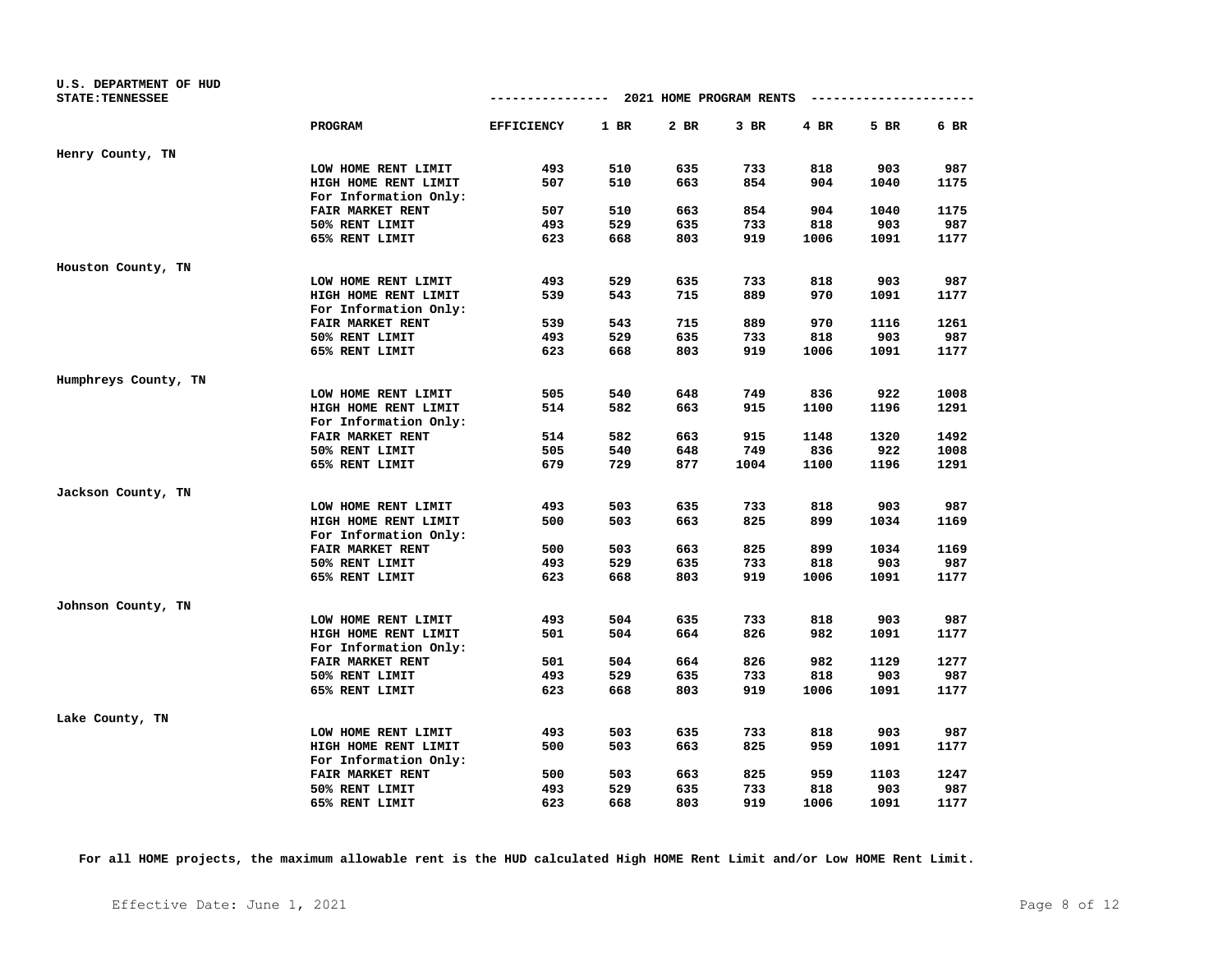| U.S. DEPARTMENT OF HUD  |                         |                   |      |                                      |        |        |                        |      |
|-------------------------|-------------------------|-------------------|------|--------------------------------------|--------|--------|------------------------|------|
| <b>STATE: TENNESSEE</b> |                         |                   |      | ------------ 2021 HOME PROGRAM RENTS |        |        | ---------------------- |      |
|                         | PROGRAM                 | <b>EFFICIENCY</b> | 1 BR | 2 BR                                 | $3$ BR | $4$ BR | 5 BR                   | 6 BR |
| Henry County, TN        |                         |                   |      |                                      |        |        |                        |      |
|                         | LOW HOME RENT LIMIT     | 493               | 510  | 635                                  | 733    | 818    | 903                    | 987  |
|                         | HIGH HOME RENT LIMIT    | 507               | 510  | 663                                  | 854    | 904    | 1040                   | 1175 |
|                         | For Information Only:   |                   |      |                                      |        |        |                        |      |
|                         | FAIR MARKET RENT        | 507               | 510  | 663                                  | 854    | 904    | 1040                   | 1175 |
|                         | 50% RENT LIMIT          | 493               | 529  | 635                                  | 733    | 818    | 903                    | 987  |
|                         | 65% RENT LIMIT          | 623               | 668  | 803                                  | 919    | 1006   | 1091                   | 1177 |
| Houston County, TN      |                         |                   |      |                                      |        |        |                        |      |
|                         | LOW HOME RENT LIMIT     | 493               | 529  | 635                                  | 733    | 818    | 903                    | 987  |
|                         | HIGH HOME RENT LIMIT    | 539               | 543  | 715                                  | 889    | 970    | 1091                   | 1177 |
|                         | For Information Only:   |                   |      |                                      |        |        |                        |      |
|                         | FAIR MARKET RENT        | 539               | 543  | 715                                  | 889    | 970    | 1116                   | 1261 |
|                         | 50% RENT LIMIT          | 493               | 529  | 635                                  | 733    | 818    | 903                    | 987  |
|                         | 65% RENT LIMIT          | 623               | 668  | 803                                  | 919    | 1006   | 1091                   | 1177 |
| Humphreys County, TN    |                         |                   |      |                                      |        |        |                        |      |
|                         | LOW HOME RENT LIMIT     | 505               | 540  | 648                                  | 749    | 836    | 922                    | 1008 |
|                         | HIGH HOME RENT LIMIT    | 514               | 582  | 663                                  | 915    | 1100   | 1196                   | 1291 |
|                         | For Information Only:   |                   |      |                                      |        |        |                        |      |
|                         | <b>FAIR MARKET RENT</b> | 514               | 582  | 663                                  | 915    | 1148   | 1320                   | 1492 |
|                         | 50% RENT LIMIT          | 505               | 540  | 648                                  | 749    | 836    | 922                    | 1008 |
|                         | 65% RENT LIMIT          | 679               | 729  | 877                                  | 1004   | 1100   | 1196                   | 1291 |
| Jackson County, TN      |                         |                   |      |                                      |        |        |                        |      |
|                         | LOW HOME RENT LIMIT     | 493               | 503  | 635                                  | 733    | 818    | 903                    | 987  |
|                         | HIGH HOME RENT LIMIT    | 500               | 503  | 663                                  | 825    | 899    | 1034                   | 1169 |
|                         | For Information Only:   |                   |      |                                      |        |        |                        |      |
|                         | <b>FAIR MARKET RENT</b> | 500               | 503  | 663                                  | 825    | 899    | 1034                   | 1169 |
|                         | 50% RENT LIMIT          | 493               | 529  | 635                                  | 733    | 818    | 903                    | 987  |
|                         | 65% RENT LIMIT          | 623               | 668  | 803                                  | 919    | 1006   | 1091                   | 1177 |
| Johnson County, TN      |                         |                   |      |                                      |        |        |                        |      |
|                         | LOW HOME RENT LIMIT     | 493               | 504  | 635                                  | 733    | 818    | 903                    | 987  |
|                         | HIGH HOME RENT LIMIT    | 501               | 504  | 664                                  | 826    | 982    | 1091                   | 1177 |
|                         | For Information Only:   |                   |      |                                      |        |        |                        |      |
|                         | FAIR MARKET RENT        | 501               | 504  | 664                                  | 826    | 982    | 1129                   | 1277 |
|                         | 50% RENT LIMIT          | 493               | 529  | 635                                  | 733    | 818    | 903                    | 987  |
|                         | 65% RENT LIMIT          | 623               | 668  | 803                                  | 919    | 1006   | 1091                   | 1177 |
| Lake County, TN         |                         |                   |      |                                      |        |        |                        |      |
|                         | LOW HOME RENT LIMIT     | 493               | 503  | 635                                  | 733    | 818    | 903                    | 987  |
|                         | HIGH HOME RENT LIMIT    | 500               | 503  | 663                                  | 825    | 959    | 1091                   | 1177 |
|                         | For Information Only:   |                   |      |                                      |        |        |                        |      |
|                         | FAIR MARKET RENT        | 500               | 503  | 663                                  | 825    | 959    | 1103                   | 1247 |
|                         | 50% RENT LIMIT          | 493               | 529  | 635                                  | 733    | 818    | 903                    | 987  |
|                         | 65% RENT LIMIT          | 623               | 668  | 803                                  | 919    | 1006   | 1091                   | 1177 |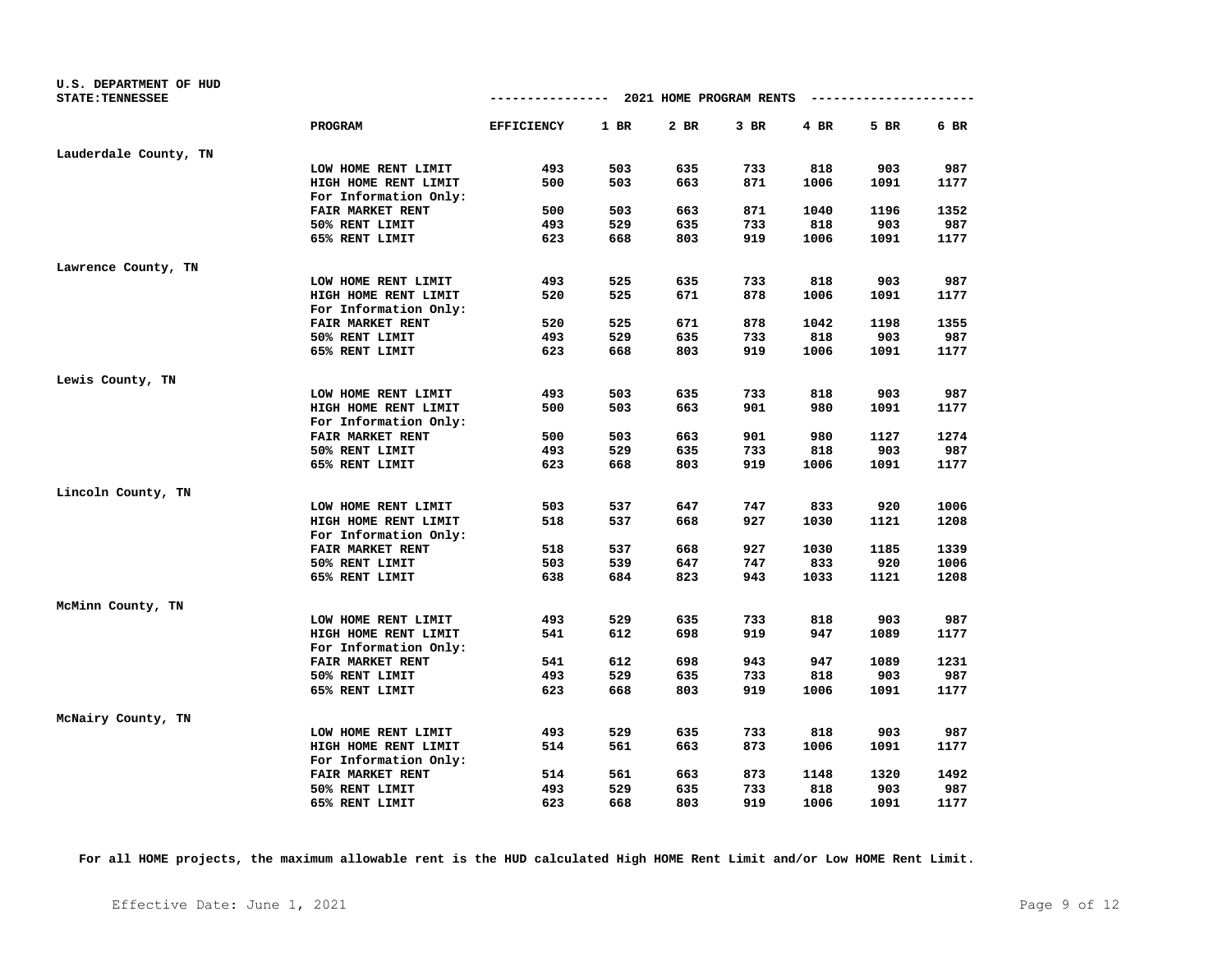| U.S. DEPARTMENT OF HUD<br><b>STATE: TENNESSEE</b> |                         | -------------- 2021 HOME PROGRAM RENTS |      |        |        |      | ---------------------- |      |
|---------------------------------------------------|-------------------------|----------------------------------------|------|--------|--------|------|------------------------|------|
|                                                   | PROGRAM                 | <b>EFFICIENCY</b>                      | 1 BR | $2$ BR | $3$ BR | 4 BR | 5 BR                   | 6 BR |
| Lauderdale County, TN                             |                         |                                        |      |        |        |      |                        |      |
|                                                   | LOW HOME RENT LIMIT     | 493                                    | 503  | 635    | 733    | 818  | 903                    | 987  |
|                                                   | HIGH HOME RENT LIMIT    | 500                                    | 503  | 663    | 871    | 1006 | 1091                   | 1177 |
|                                                   | For Information Only:   |                                        |      |        |        |      |                        |      |
|                                                   | FAIR MARKET RENT        | 500                                    | 503  | 663    | 871    | 1040 | 1196                   | 1352 |
|                                                   | 50% RENT LIMIT          | 493                                    | 529  | 635    | 733    | 818  | 903                    | 987  |
|                                                   | 65% RENT LIMIT          | 623                                    | 668  | 803    | 919    | 1006 | 1091                   | 1177 |
| Lawrence County, TN                               |                         |                                        |      |        |        |      |                        |      |
|                                                   | LOW HOME RENT LIMIT     | 493                                    | 525  | 635    | 733    | 818  | 903                    | 987  |
|                                                   | HIGH HOME RENT LIMIT    | 520                                    | 525  | 671    | 878    | 1006 | 1091                   | 1177 |
|                                                   | For Information Only:   |                                        |      |        |        |      |                        |      |
|                                                   | FAIR MARKET RENT        | 520                                    | 525  | 671    | 878    | 1042 | 1198                   | 1355 |
|                                                   | 50% RENT LIMIT          | 493                                    | 529  | 635    | 733    | 818  | 903                    | 987  |
|                                                   | 65% RENT LIMIT          | 623                                    | 668  | 803    | 919    | 1006 | 1091                   | 1177 |
| Lewis County, TN                                  |                         |                                        |      |        |        |      |                        |      |
|                                                   | LOW HOME RENT LIMIT     | 493                                    | 503  | 635    | 733    | 818  | 903                    | 987  |
|                                                   | HIGH HOME RENT LIMIT    | 500                                    | 503  | 663    | 901    | 980  | 1091                   | 1177 |
|                                                   | For Information Only:   |                                        |      |        |        |      |                        |      |
|                                                   | <b>FAIR MARKET RENT</b> | 500                                    | 503  | 663    | 901    | 980  | 1127                   | 1274 |
|                                                   | 50% RENT LIMIT          | 493                                    | 529  | 635    | 733    | 818  | 903                    | 987  |
|                                                   | 65% RENT LIMIT          | 623                                    | 668  | 803    | 919    | 1006 | 1091                   | 1177 |
| Lincoln County, TN                                |                         |                                        |      |        |        |      |                        |      |
|                                                   | LOW HOME RENT LIMIT     | 503                                    | 537  | 647    | 747    | 833  | 920                    | 1006 |
|                                                   | HIGH HOME RENT LIMIT    | 518                                    | 537  | 668    | 927    | 1030 | 1121                   | 1208 |
|                                                   | For Information Only:   |                                        |      |        |        |      |                        |      |
|                                                   | FAIR MARKET RENT        | 518                                    | 537  | 668    | 927    | 1030 | 1185                   | 1339 |
|                                                   | 50% RENT LIMIT          | 503                                    | 539  | 647    | 747    | 833  | 920                    | 1006 |
|                                                   | 65% RENT LIMIT          | 638                                    | 684  | 823    | 943    | 1033 | 1121                   | 1208 |
| McMinn County, TN                                 |                         |                                        |      |        |        |      |                        |      |
|                                                   | LOW HOME RENT LIMIT     | 493                                    | 529  | 635    | 733    | 818  | 903                    | 987  |
|                                                   | HIGH HOME RENT LIMIT    | 541                                    | 612  | 698    | 919    | 947  | 1089                   | 1177 |
|                                                   | For Information Only:   |                                        |      |        |        |      |                        |      |
|                                                   | FAIR MARKET RENT        | 541                                    | 612  | 698    | 943    | 947  | 1089                   | 1231 |
|                                                   | 50% RENT LIMIT          | 493                                    | 529  | 635    | 733    | 818  | 903                    | 987  |
|                                                   | 65% RENT LIMIT          | 623                                    | 668  | 803    | 919    | 1006 | 1091                   | 1177 |
| McNairy County, TN                                |                         |                                        |      |        |        |      |                        |      |
|                                                   | LOW HOME RENT LIMIT     | 493                                    | 529  | 635    | 733    | 818  | 903                    | 987  |
|                                                   | HIGH HOME RENT LIMIT    | 514                                    | 561  | 663    | 873    | 1006 | 1091                   | 1177 |
|                                                   | For Information Only:   |                                        |      |        |        |      |                        |      |
|                                                   | FAIR MARKET RENT        | 514                                    | 561  | 663    | 873    | 1148 | 1320                   | 1492 |
|                                                   | 50% RENT LIMIT          | 493                                    | 529  | 635    | 733    | 818  | 903                    | 987  |
|                                                   | 65% RENT LIMIT          | 623                                    | 668  | 803    | 919    | 1006 | 1091                   | 1177 |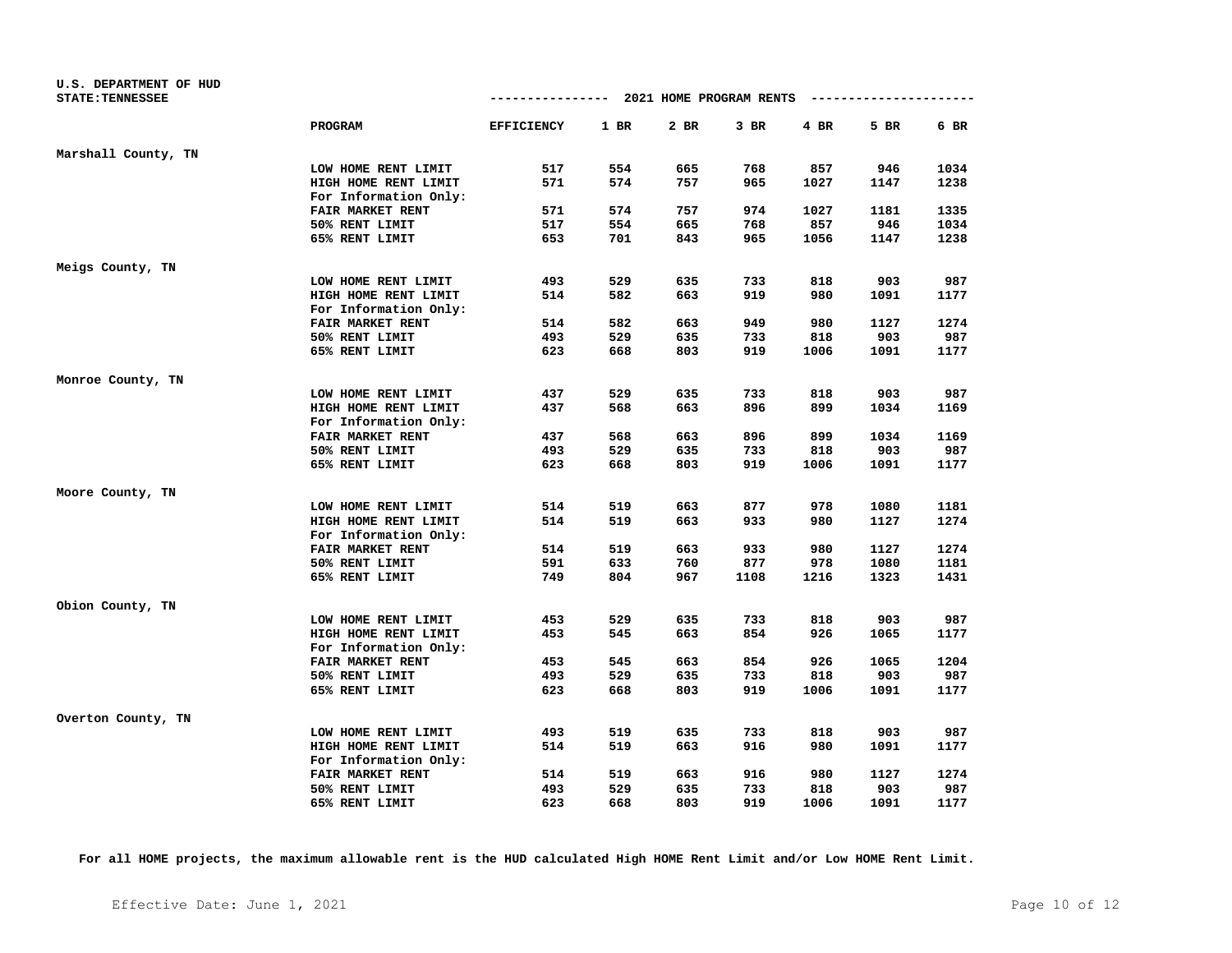| U.S. DEPARTMENT OF HUD  |                         |                                        |      |      |        |      |                        |      |
|-------------------------|-------------------------|----------------------------------------|------|------|--------|------|------------------------|------|
| <b>STATE: TENNESSEE</b> |                         | -------------- 2021 HOME PROGRAM RENTS |      |      |        |      | ---------------------- |      |
|                         | PROGRAM                 | <b>EFFICIENCY</b>                      | 1 BR | 2 BR | $3$ BR | 4 BR | 5 BR                   | 6 BR |
| Marshall County, TN     |                         |                                        |      |      |        |      |                        |      |
|                         | LOW HOME RENT LIMIT     | 517                                    | 554  | 665  | 768    | 857  | 946                    | 1034 |
|                         | HIGH HOME RENT LIMIT    | 571                                    | 574  | 757  | 965    | 1027 | 1147                   | 1238 |
|                         | For Information Only:   |                                        |      |      |        |      |                        |      |
|                         | FAIR MARKET RENT        | 571                                    | 574  | 757  | 974    | 1027 | 1181                   | 1335 |
|                         | 50% RENT LIMIT          | 517                                    | 554  | 665  | 768    | 857  | 946                    | 1034 |
|                         | 65% RENT LIMIT          | 653                                    | 701  | 843  | 965    | 1056 | 1147                   | 1238 |
| Meigs County, TN        |                         |                                        |      |      |        |      |                        |      |
|                         | LOW HOME RENT LIMIT     | 493                                    | 529  | 635  | 733    | 818  | 903                    | 987  |
|                         | HIGH HOME RENT LIMIT    | 514                                    | 582  | 663  | 919    | 980  | 1091                   | 1177 |
|                         | For Information Only:   |                                        |      |      |        |      |                        |      |
|                         | FAIR MARKET RENT        | 514                                    | 582  | 663  | 949    | 980  | 1127                   | 1274 |
|                         | 50% RENT LIMIT          | 493                                    | 529  | 635  | 733    | 818  | 903                    | 987  |
|                         | 65% RENT LIMIT          | 623                                    | 668  | 803  | 919    | 1006 | 1091                   | 1177 |
| Monroe County, TN       |                         |                                        |      |      |        |      |                        |      |
|                         | LOW HOME RENT LIMIT     | 437                                    | 529  | 635  | 733    | 818  | 903                    | 987  |
|                         | HIGH HOME RENT LIMIT    | 437                                    | 568  | 663  | 896    | 899  | 1034                   | 1169 |
|                         | For Information Only:   |                                        |      |      |        |      |                        |      |
|                         | <b>FAIR MARKET RENT</b> | 437                                    | 568  | 663  | 896    | 899  | 1034                   | 1169 |
|                         | 50% RENT LIMIT          | 493                                    | 529  | 635  | 733    | 818  | 903                    | 987  |
|                         | 65% RENT LIMIT          | 623                                    | 668  | 803  | 919    | 1006 | 1091                   | 1177 |
| Moore County, TN        |                         |                                        |      |      |        |      |                        |      |
|                         | LOW HOME RENT LIMIT     | 514                                    | 519  | 663  | 877    | 978  | 1080                   | 1181 |
|                         | HIGH HOME RENT LIMIT    | 514                                    | 519  | 663  | 933    | 980  | 1127                   | 1274 |
|                         | For Information Only:   |                                        |      |      |        |      |                        |      |
|                         | FAIR MARKET RENT        | 514                                    | 519  | 663  | 933    | 980  | 1127                   | 1274 |
|                         | 50% RENT LIMIT          | 591                                    | 633  | 760  | 877    | 978  | 1080                   | 1181 |
|                         | 65% RENT LIMIT          | 749                                    | 804  | 967  | 1108   | 1216 | 1323                   | 1431 |
| Obion County, TN        |                         |                                        |      |      |        |      |                        |      |
|                         | LOW HOME RENT LIMIT     | 453                                    | 529  | 635  | 733    | 818  | 903                    | 987  |
|                         | HIGH HOME RENT LIMIT    | 453                                    | 545  | 663  | 854    | 926  | 1065                   | 1177 |
|                         | For Information Only:   |                                        |      |      |        |      |                        |      |
|                         | FAIR MARKET RENT        | 453                                    | 545  | 663  | 854    | 926  | 1065                   | 1204 |
|                         | 50% RENT LIMIT          | 493                                    | 529  | 635  | 733    | 818  | 903                    | 987  |
|                         | 65% RENT LIMIT          | 623                                    | 668  | 803  | 919    | 1006 | 1091                   | 1177 |
| Overton County, TN      |                         |                                        |      |      |        |      |                        |      |
|                         | LOW HOME RENT LIMIT     | 493                                    | 519  | 635  | 733    | 818  | 903                    | 987  |
|                         | HIGH HOME RENT LIMIT    | 514                                    | 519  | 663  | 916    | 980  | 1091                   | 1177 |
|                         | For Information Only:   |                                        |      |      |        |      |                        |      |
|                         | FAIR MARKET RENT        | 514                                    | 519  | 663  | 916    | 980  | 1127                   | 1274 |
|                         | 50% RENT LIMIT          | 493                                    | 529  | 635  | 733    | 818  | 903                    | 987  |
|                         | 65% RENT LIMIT          | 623                                    | 668  | 803  | 919    | 1006 | 1091                   | 1177 |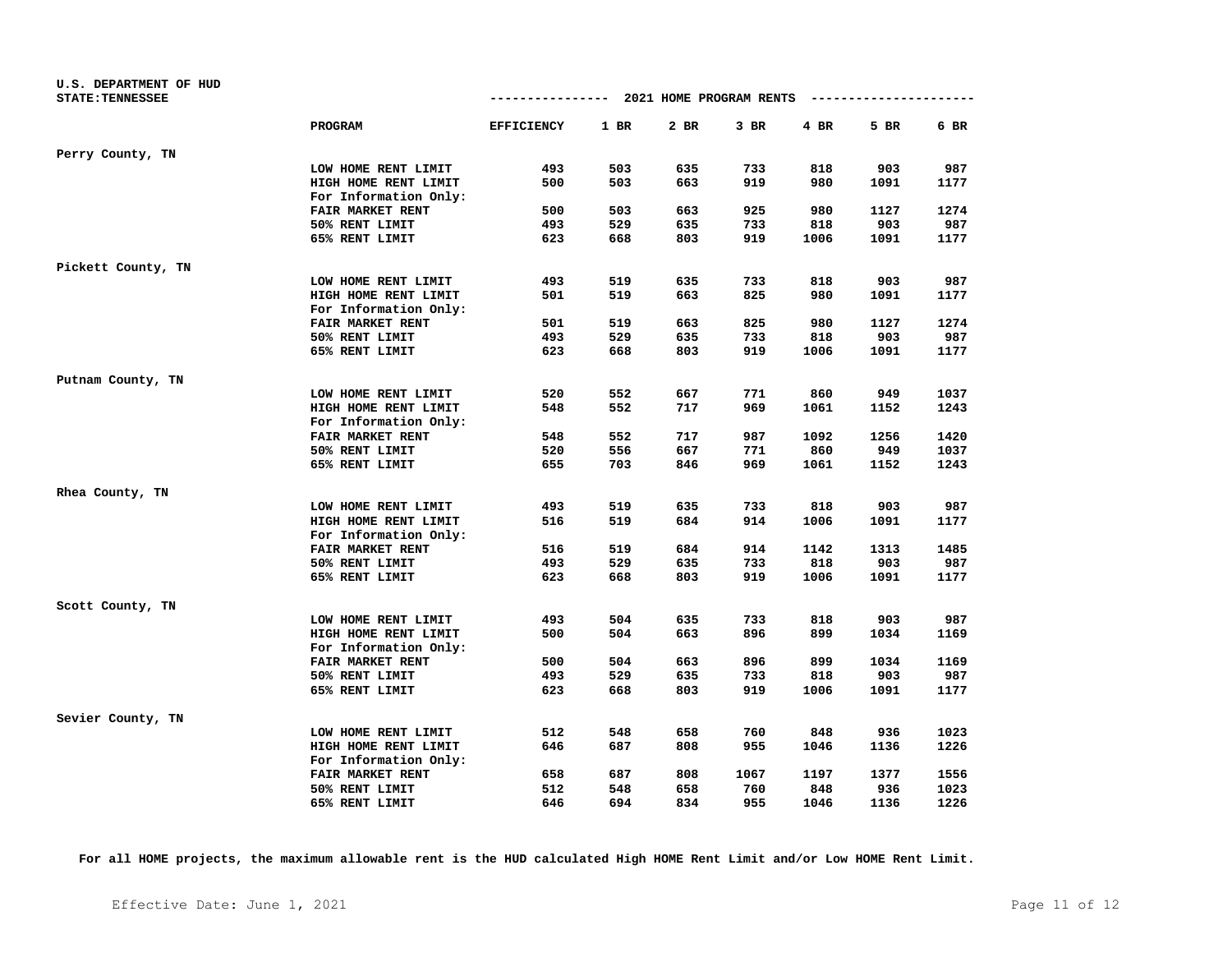| U.S. DEPARTMENT OF HUD<br><b>STATE: TENNESSEE</b> |                         | $--------- 2021$ HOME PROGRAM RENTS |      |      |        |        | ---------------------- |      |
|---------------------------------------------------|-------------------------|-------------------------------------|------|------|--------|--------|------------------------|------|
|                                                   | <b>PROGRAM</b>          | <b>EFFICIENCY</b>                   | 1 BR | 2 BR | $3$ BR | $4$ BR | 5 BR                   | 6 BR |
| Perry County, TN                                  |                         |                                     |      |      |        |        |                        |      |
|                                                   | LOW HOME RENT LIMIT     | 493                                 | 503  | 635  | 733    | 818    | 903                    | 987  |
|                                                   | HIGH HOME RENT LIMIT    | 500                                 | 503  | 663  | 919    | 980    | 1091                   | 1177 |
|                                                   | For Information Only:   |                                     |      |      |        |        |                        |      |
|                                                   | FAIR MARKET RENT        | 500                                 | 503  | 663  | 925    | 980    | 1127                   | 1274 |
|                                                   | 50% RENT LIMIT          | 493                                 | 529  | 635  | 733    | 818    | 903                    | 987  |
|                                                   | 65% RENT LIMIT          | 623                                 | 668  | 803  | 919    | 1006   | 1091                   | 1177 |
| Pickett County, TN                                |                         |                                     |      |      |        |        |                        |      |
|                                                   | LOW HOME RENT LIMIT     | 493                                 | 519  | 635  | 733    | 818    | 903                    | 987  |
|                                                   | HIGH HOME RENT LIMIT    | 501                                 | 519  | 663  | 825    | 980    | 1091                   | 1177 |
|                                                   | For Information Only:   |                                     |      |      |        |        |                        |      |
|                                                   | FAIR MARKET RENT        | 501                                 | 519  | 663  | 825    | 980    | 1127                   | 1274 |
|                                                   | 50% RENT LIMIT          | 493                                 | 529  | 635  | 733    | 818    | 903                    | 987  |
|                                                   | 65% RENT LIMIT          | 623                                 | 668  | 803  | 919    | 1006   | 1091                   | 1177 |
| Putnam County, TN                                 |                         |                                     |      |      |        |        |                        |      |
|                                                   | LOW HOME RENT LIMIT     | 520                                 | 552  | 667  | 771    | 860    | 949                    | 1037 |
|                                                   | HIGH HOME RENT LIMIT    | 548                                 | 552  | 717  | 969    | 1061   | 1152                   | 1243 |
|                                                   | For Information Only:   |                                     |      |      |        |        |                        |      |
|                                                   | <b>FAIR MARKET RENT</b> | 548                                 | 552  | 717  | 987    | 1092   | 1256                   | 1420 |
|                                                   | 50% RENT LIMIT          | 520                                 | 556  | 667  | 771    | 860    | 949                    | 1037 |
|                                                   | 65% RENT LIMIT          | 655                                 | 703  | 846  | 969    | 1061   | 1152                   | 1243 |
| Rhea County, TN                                   |                         |                                     |      |      |        |        |                        |      |
|                                                   | LOW HOME RENT LIMIT     | 493                                 | 519  | 635  | 733    | 818    | 903                    | 987  |
|                                                   | HIGH HOME RENT LIMIT    | 516                                 | 519  | 684  | 914    | 1006   | 1091                   | 1177 |
|                                                   | For Information Only:   |                                     |      |      |        |        |                        |      |
|                                                   | FAIR MARKET RENT        | 516                                 | 519  | 684  | 914    | 1142   | 1313                   | 1485 |
|                                                   | 50% RENT LIMIT          | 493                                 | 529  | 635  | 733    | 818    | 903                    | 987  |
|                                                   | 65% RENT LIMIT          | 623                                 | 668  | 803  | 919    | 1006   | 1091                   | 1177 |
| Scott County, TN                                  |                         |                                     |      |      |        |        |                        |      |
|                                                   | LOW HOME RENT LIMIT     | 493                                 | 504  | 635  | 733    | 818    | 903                    | 987  |
|                                                   | HIGH HOME RENT LIMIT    | 500                                 | 504  | 663  | 896    | 899    | 1034                   | 1169 |
|                                                   | For Information Only:   |                                     |      |      |        |        |                        |      |
|                                                   | FAIR MARKET RENT        | 500                                 | 504  | 663  | 896    | 899    | 1034                   | 1169 |
|                                                   | 50% RENT LIMIT          | 493                                 | 529  | 635  | 733    | 818    | 903                    | 987  |
|                                                   | 65% RENT LIMIT          | 623                                 | 668  | 803  | 919    | 1006   | 1091                   | 1177 |
| Sevier County, TN                                 |                         |                                     |      |      |        |        |                        |      |
|                                                   | LOW HOME RENT LIMIT     | 512                                 | 548  | 658  | 760    | 848    | 936                    | 1023 |
|                                                   | HIGH HOME RENT LIMIT    | 646                                 | 687  | 808  | 955    | 1046   | 1136                   | 1226 |
|                                                   | For Information Only:   |                                     |      |      |        |        |                        |      |
|                                                   | FAIR MARKET RENT        | 658                                 | 687  | 808  | 1067   | 1197   | 1377                   | 1556 |
|                                                   | 50% RENT LIMIT          | 512                                 | 548  | 658  | 760    | 848    | 936                    | 1023 |
|                                                   | 65% RENT LIMIT          | 646                                 | 694  | 834  | 955    | 1046   | 1136                   | 1226 |